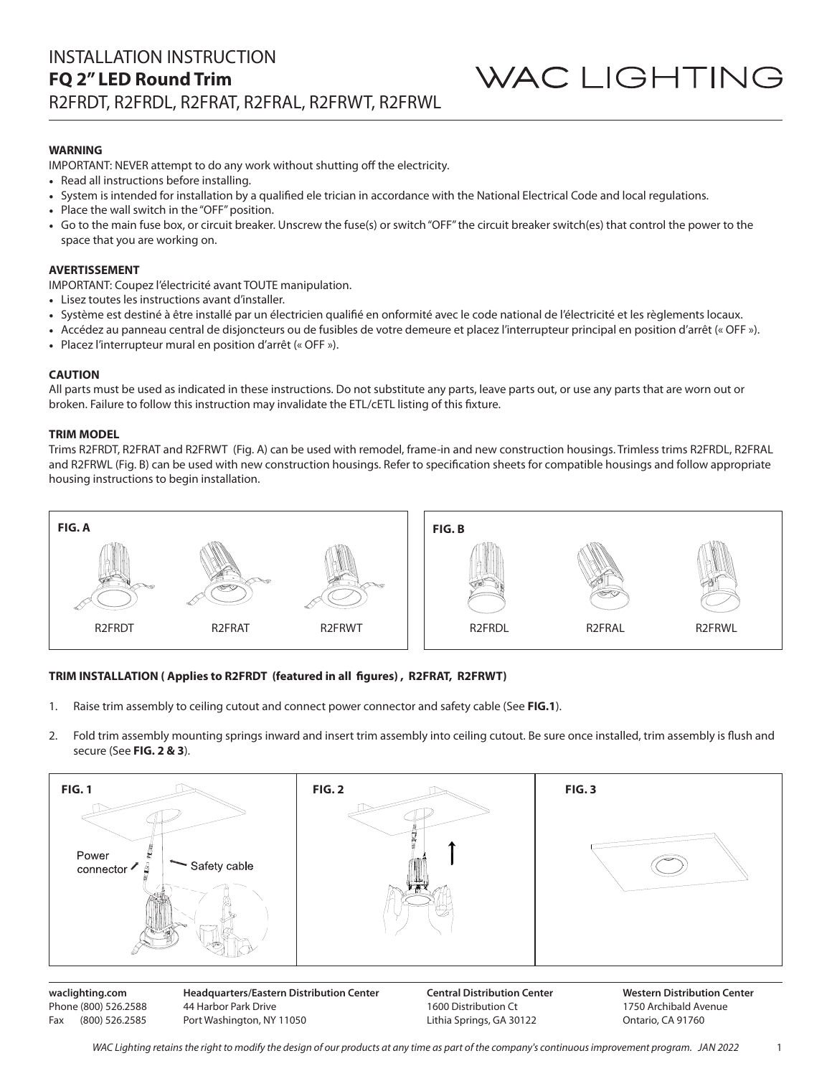## **WARNING**

IMPORTANT: NEVER attempt to do any work without shutting off the electricity.

- Read all instructions before installing.
- System is intended for installation by a qualified ele trician in accordance with the National Electrical Code and local regulations.
- Place the wall switch in the "OFF" position.
- Go to the main fuse box, or circuit breaker. Unscrew the fuse(s) or switch "OFF" the circuit breaker switch(es) that control the power to the space that you are working on.

#### **AVERTISSEMENT**

IMPORTANT: Coupez l'électricité avant TOUTE manipulation.

- Lisez toutes les instructions avant d'installer.
- Système est destiné à être installé par un électricien qualifié en onformité avec le code national de l'électricité et les règlements locaux.
- Accédez au panneau central de disjoncteurs ou de fusibles de votre demeure et placez l'interrupteur principal en position d'arrêt (« OFF »).
- Placez l'interrupteur mural en position d'arrêt (« OFF »).

#### **CAUTION**

All parts must be used as indicated in these instructions. Do not substitute any parts, leave parts out, or use any parts that are worn out or broken. Failure to follow this instruction may invalidate the ETL/cETL listing of this fixture.

#### **TRIM MODEL**

Phone (800) 526.2588 Fax (800) 526.2585

Trims R2FRDT, R2FRAT and R2FRWT (Fig. A) can be used with remodel, frame-in and new construction housings. Trimless trims R2FRDL, R2FRAL and R2FRWL (Fig. B) can be used with new construction housings. Refer to specification sheets for compatible housings and follow appropriate housing instructions to begin installation.



#### **TRIM INSTALLATION ( Applies to R2FRDT (featured in all figures) , R2FRAT, R2FRWT)**

44 Harbor Park Drive Port Washington, NY 11050

- 1. Raise trim assembly to ceiling cutout and connect power connector and safety cable (See **FIG.1**).
- 2. Fold trim assembly mounting springs inward and insert trim assembly into ceiling cutout. Be sure once installed, trim assembly is flush and secure (See **FIG. 2 & 3**).



1600 Distribution Ct Lithia Springs, GA 30122

*WAC Lighting retains the right to modify the design of our products at any time as part of the company's continuous improvement program. JAN 2022*

1750 Archibald Avenue Ontario, CA 91760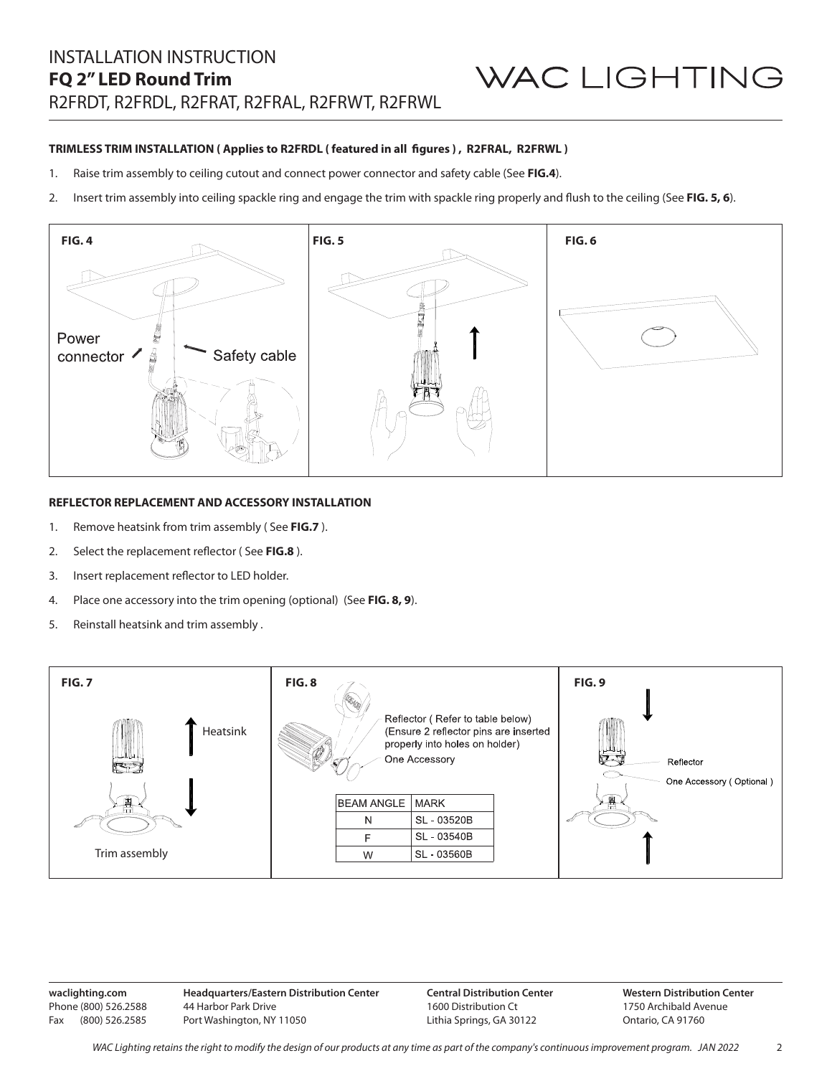#### **TRIMLESS TRIM INSTALLATION ( Applies to R2FRDL ( featured in all figures ) , R2FRAL, R2FRWL )**

- 1. Raise trim assembly to ceiling cutout and connect power connector and safety cable (See **FIG.4**).
- 2. Insert trim assembly into ceiling spackle ring and engage the trim with spackle ring properly and flush to the ceiling (See **FIG. 5, 6**).



#### **REFLECTOR REPLACEMENT AND ACCESSORY INSTALLATION**

- 1. Remove heatsink from trim assembly ( See **FIG.7** ).
- 2. Select the replacement reflector ( See **FIG.8** ).
- 3. Insert replacement reflector to LED holder.
- 4. Place one accessory into the trim opening (optional) (See **FIG. 8, 9**).
- 5. Reinstall heatsink and trim assembly .



**waclighting.com** Phone (800) 526.2588 Fax (800) 526.2585 **Headquarters/Eastern Distribution Center** 44 Harbor Park Drive Port Washington, NY 11050

**Central Distribution Center** 1600 Distribution Ct Lithia Springs, GA 30122

**Western Distribution Center**  1750 Archibald Avenue Ontario, CA 91760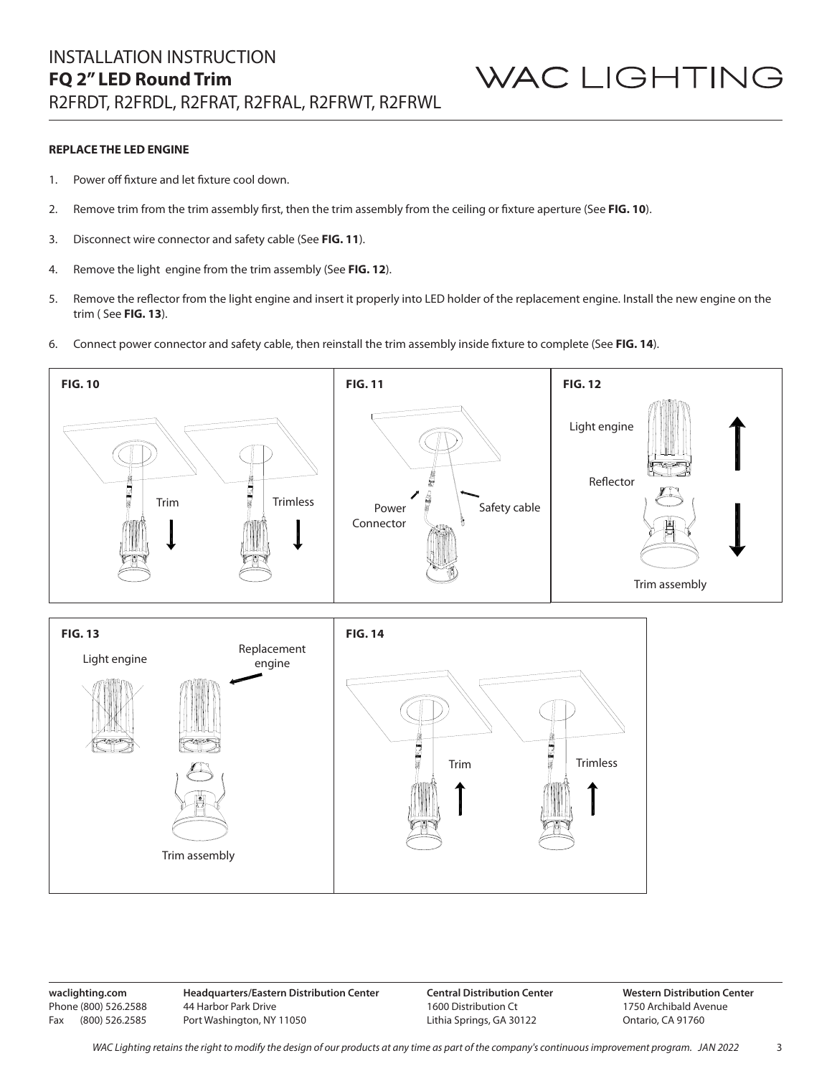#### **REPLACE THE LED ENGINE**

- 1. Power off fixture and let fixture cool down.
- 2. Remove trim from the trim assembly first, then the trim assembly from the ceiling or fixture aperture (See **FIG. 10**).
- 3. Disconnect wire connector and safety cable (See **FIG. 11**).
- 4. Remove the light engine from the trim assembly (See **FIG. 12**).
- 5. Remove the reflector from the light engine and insert it properly into LED holder of the replacement engine. Install the new engine on the trim ( See **FIG. 13**).
- 6. Connect power connector and safety cable, then reinstall the trim assembly inside fixture to complete (See **FIG. 14**).



**waclighting.com** Phone (800) 526.2588 Fax (800) 526.2585 **Headquarters/Eastern Distribution Center** 44 Harbor Park Drive Port Washington, NY 11050

**Central Distribution Center** 1600 Distribution Ct Lithia Springs, GA 30122

**Western Distribution Center**  1750 Archibald Avenue Ontario, CA 91760